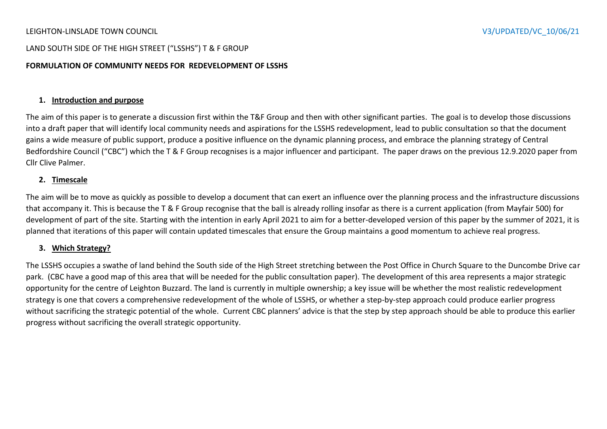### LEIGHTON-LINSLADE TOWN COUNCIL V3/UPDATED/VC\_10/06/21

### LAND SOUTH SIDE OF THE HIGH STREET ("LSSHS") T & F GROUP

### **FORMULATION OF COMMUNITY NEEDS FOR REDEVELOPMENT OF LSSHS**

### **1. Introduction and purpose**

The aim of this paper is to generate a discussion first within the T&F Group and then with other significant parties. The goal is to develop those discussions into a draft paper that will identify local community needs and aspirations for the LSSHS redevelopment, lead to public consultation so that the document gains a wide measure of public support, produce a positive influence on the dynamic planning process, and embrace the planning strategy of Central Bedfordshire Council ("CBC") which the T & F Group recognises is a major influencer and participant. The paper draws on the previous 12.9.2020 paper from Cllr Clive Palmer.

### **2. Timescale**

The aim will be to move as quickly as possible to develop a document that can exert an influence over the planning process and the infrastructure discussions that accompany it. This is because the T & F Group recognise that the ball is already rolling insofar as there is a current application (from Mayfair 500) for development of part of the site. Starting with the intention in early April 2021 to aim for a better-developed version of this paper by the summer of 2021, it is planned that iterations of this paper will contain updated timescales that ensure the Group maintains a good momentum to achieve real progress.

### **3. Which Strategy?**

The LSSHS occupies a swathe of land behind the South side of the High Street stretching between the Post Office in Church Square to the Duncombe Drive car park. (CBC have a good map of this area that will be needed for the public consultation paper). The development of this area represents a major strategic opportunity for the centre of Leighton Buzzard. The land is currently in multiple ownership; a key issue will be whether the most realistic redevelopment strategy is one that covers a comprehensive redevelopment of the whole of LSSHS, or whether a step-by-step approach could produce earlier progress without sacrificing the strategic potential of the whole. Current CBC planners' advice is that the step by step approach should be able to produce this earlier progress without sacrificing the overall strategic opportunity.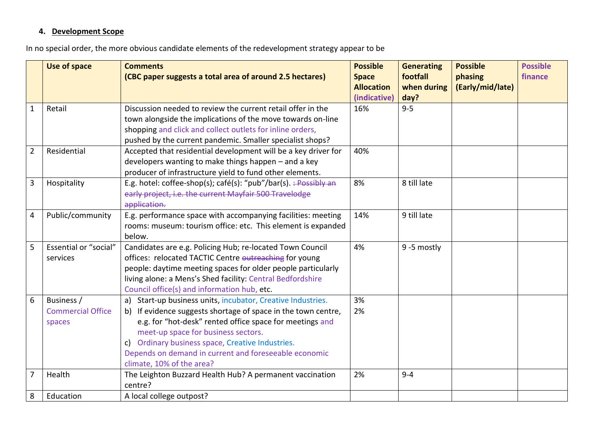# **4. Development Scope**

In no special order, the more obvious candidate elements of the redevelopment strategy appear to be

|                | <b>Use of space</b>                              | <b>Comments</b><br>(CBC paper suggests a total area of around 2.5 hectares)                                                                                                                                                                                                                                                                                               | <b>Possible</b><br><b>Space</b><br><b>Allocation</b><br>(indicative) | <b>Generating</b><br>footfall<br>when during | <b>Possible</b><br>phasing<br>(Early/mid/late) | <b>Possible</b><br>finance |
|----------------|--------------------------------------------------|---------------------------------------------------------------------------------------------------------------------------------------------------------------------------------------------------------------------------------------------------------------------------------------------------------------------------------------------------------------------------|----------------------------------------------------------------------|----------------------------------------------|------------------------------------------------|----------------------------|
| $\mathbf{1}$   | Retail                                           | Discussion needed to review the current retail offer in the<br>town alongside the implications of the move towards on-line<br>shopping and click and collect outlets for inline orders,<br>pushed by the current pandemic. Smaller specialist shops?                                                                                                                      | 16%                                                                  | day?<br>$9 - 5$                              |                                                |                            |
| $\overline{2}$ | Residential                                      | Accepted that residential development will be a key driver for<br>developers wanting to make things happen - and a key<br>producer of infrastructure yield to fund other elements.                                                                                                                                                                                        | 40%                                                                  |                                              |                                                |                            |
| $\mathbf{3}$   | Hospitality                                      | E.g. hotel: coffee-shop(s); café(s): "pub"/bar(s). :- Possibly an<br>early project, i.e. the current Mayfair 500 Travelodge<br>application.                                                                                                                                                                                                                               | 8%                                                                   | 8 till late                                  |                                                |                            |
| $\overline{4}$ | Public/community                                 | E.g. performance space with accompanying facilities: meeting<br>rooms: museum: tourism office: etc. This element is expanded<br>below.                                                                                                                                                                                                                                    | 14%                                                                  | 9 till late                                  |                                                |                            |
| 5              | Essential or "social"<br>services                | Candidates are e.g. Policing Hub; re-located Town Council<br>offices: relocated TACTIC Centre outreaching for young<br>people: daytime meeting spaces for older people particularly<br>living alone: a Mens's Shed facility: Central Bedfordshire<br>Council office(s) and information hub, etc.                                                                          | 4%                                                                   | 9-5 mostly                                   |                                                |                            |
| 6              | Business /<br><b>Commercial Office</b><br>spaces | a) Start-up business units, incubator, Creative Industries.<br>b) If evidence suggests shortage of space in the town centre,<br>e.g. for "hot-desk" rented office space for meetings and<br>meet-up space for business sectors.<br>c) Ordinary business space, Creative Industries.<br>Depends on demand in current and foreseeable economic<br>climate, 10% of the area? | 3%<br>2%                                                             |                                              |                                                |                            |
| $\overline{7}$ | Health                                           | The Leighton Buzzard Health Hub? A permanent vaccination<br>centre?                                                                                                                                                                                                                                                                                                       | 2%                                                                   | $9 - 4$                                      |                                                |                            |
| 8              | Education                                        | A local college outpost?                                                                                                                                                                                                                                                                                                                                                  |                                                                      |                                              |                                                |                            |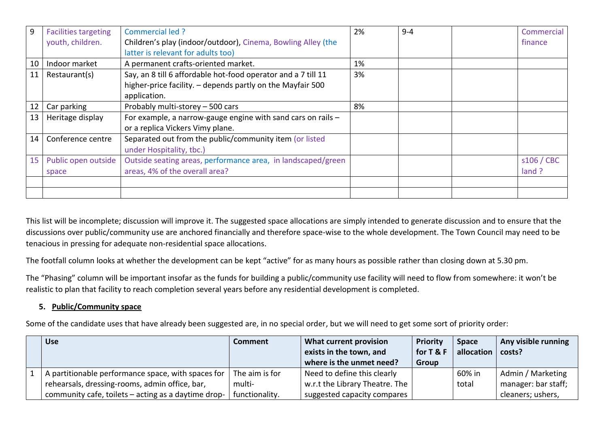| 9  | <b>Facilities targeting</b> | Commercial led ?                                               | 2% | $9 - 4$ | Commercial |
|----|-----------------------------|----------------------------------------------------------------|----|---------|------------|
|    | youth, children.            | Children's play (indoor/outdoor), Cinema, Bowling Alley (the   |    |         | finance    |
|    |                             | latter is relevant for adults too)                             |    |         |            |
| 10 | Indoor market               | A permanent crafts-oriented market.                            | 1% |         |            |
| 11 | Restaurant(s)               | Say, an 8 till 6 affordable hot-food operator and a 7 till 11  | 3% |         |            |
|    |                             | higher-price facility. - depends partly on the Mayfair 500     |    |         |            |
|    |                             | application.                                                   |    |         |            |
| 12 | Car parking                 | Probably multi-storey - 500 cars                               | 8% |         |            |
| 13 | Heritage display            | For example, a narrow-gauge engine with sand cars on rails $-$ |    |         |            |
|    |                             | or a replica Vickers Vimy plane.                               |    |         |            |
| 14 | Conference centre           | Separated out from the public/community item (or listed        |    |         |            |
|    |                             | under Hospitality, tbc.)                                       |    |         |            |
| 15 | Public open outside         | Outside seating areas, performance area, in landscaped/green   |    |         | s106 / CBC |
|    | space                       | areas, 4% of the overall area?                                 |    |         | land ?     |
|    |                             |                                                                |    |         |            |
|    |                             |                                                                |    |         |            |

This list will be incomplete; discussion will improve it. The suggested space allocations are simply intended to generate discussion and to ensure that the discussions over public/community use are anchored financially and therefore space-wise to the whole development. The Town Council may need to be tenacious in pressing for adequate non-residential space allocations.

The footfall column looks at whether the development can be kept "active" for as many hours as possible rather than closing down at 5.30 pm.

The "Phasing" column will be important insofar as the funds for building a public/community use facility will need to flow from somewhere: it won't be realistic to plan that facility to reach completion several years before any residential development is completed.

## **5. Public/Community space**

Some of the candidate uses that have already been suggested are, in no special order, but we will need to get some sort of priority order:

| <b>Use</b>                                          | <b>Comment</b> | What current provision         | Priority  | <b>Space</b> | Any visible running |
|-----------------------------------------------------|----------------|--------------------------------|-----------|--------------|---------------------|
|                                                     |                | exists in the town, and        | for T & F | allocation   | costs?              |
|                                                     |                | where is the unmet need?       | Group     |              |                     |
| A partitionable performance space, with spaces for  | The aim is for | Need to define this clearly    |           | 60% in       | Admin / Marketing   |
| rehearsals, dressing-rooms, admin office, bar,      | multi-         | w.r.t the Library Theatre. The |           | total        | manager: bar staff; |
| community cafe, toilets – acting as a daytime drop- | functionality. | suggested capacity compares    |           |              | cleaners; ushers,   |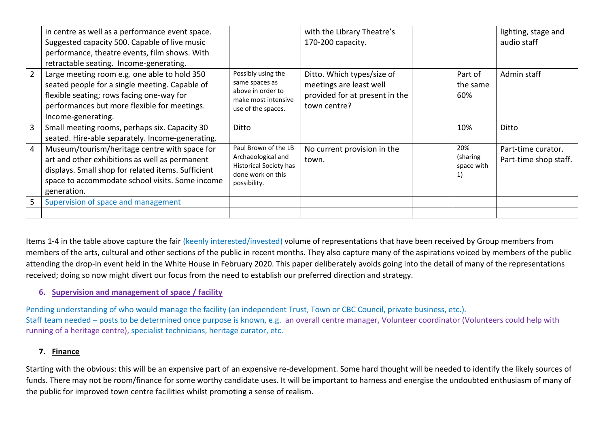|                | in centre as well as a performance event space.<br>Suggested capacity 500. Capable of live music<br>performance, theatre events, film shows. With<br>retractable seating. Income-generating.                            |                                                                                                           | with the Library Theatre's<br>170-200 capacity.                                                         |                                                   | lighting, stage and<br>audio staff          |
|----------------|-------------------------------------------------------------------------------------------------------------------------------------------------------------------------------------------------------------------------|-----------------------------------------------------------------------------------------------------------|---------------------------------------------------------------------------------------------------------|---------------------------------------------------|---------------------------------------------|
| $\overline{2}$ | Large meeting room e.g. one able to hold 350<br>seated people for a single meeting. Capable of<br>flexible seating; rows facing one-way for<br>performances but more flexible for meetings.<br>Income-generating.       | Possibly using the<br>same spaces as<br>above in order to<br>make most intensive<br>use of the spaces.    | Ditto. Which types/size of<br>meetings are least well<br>provided for at present in the<br>town centre? | Part of<br>the same<br>60%                        | Admin staff                                 |
| $\overline{3}$ | Small meeting rooms, perhaps six. Capacity 30<br>seated. Hire-able separately. Income-generating.                                                                                                                       | Ditto                                                                                                     |                                                                                                         | 10%                                               | Ditto                                       |
| $\overline{4}$ | Museum/tourism/heritage centre with space for<br>art and other exhibitions as well as permanent<br>displays. Small shop for related items. Sufficient<br>space to accommodate school visits. Some income<br>generation. | Paul Brown of the LB<br>Archaeological and<br>Historical Society has<br>done work on this<br>possibility. | No current provision in the<br>town.                                                                    | 20%<br>(sharing<br>space with<br>$\left  \right $ | Part-time curator.<br>Part-time shop staff. |
| 5              | Supervision of space and management                                                                                                                                                                                     |                                                                                                           |                                                                                                         |                                                   |                                             |
|                |                                                                                                                                                                                                                         |                                                                                                           |                                                                                                         |                                                   |                                             |

Items 1-4 in the table above capture the fair (keenly interested/invested) volume of representations that have been received by Group members from members of the arts, cultural and other sections of the public in recent months. They also capture many of the aspirations voiced by members of the public attending the drop-in event held in the White House in February 2020. This paper deliberately avoids going into the detail of many of the representations received; doing so now might divert our focus from the need to establish our preferred direction and strategy.

# **6. Supervision and management of space / facility**

Pending understanding of who would manage the facility (an independent Trust, Town or CBC Council, private business, etc.). Staff team needed – posts to be determined once purpose is known, e.g. an overall centre manager, Volunteer coordinator (Volunteers could help with running of a heritage centre), specialist technicians, heritage curator, etc.

# **7. Finance**

Starting with the obvious: this will be an expensive part of an expensive re-development. Some hard thought will be needed to identify the likely sources of funds. There may not be room/finance for some worthy candidate uses. It will be important to harness and energise the undoubted enthusiasm of many of the public for improved town centre facilities whilst promoting a sense of realism.